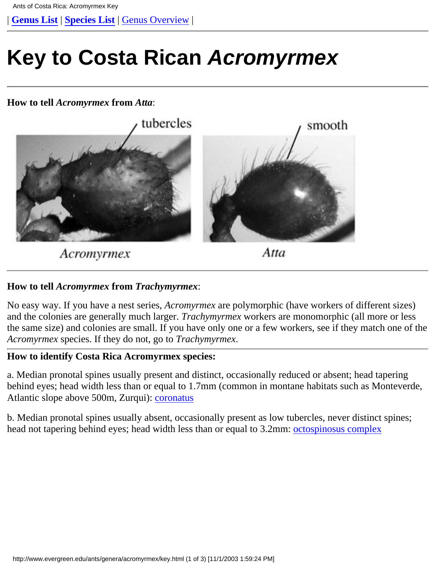<span id="page-0-0"></span>| **[Genus List](http://www.evergreen.edu/ants/Genera.html)** | **[Species List](http://www.evergreen.edu/ants/genera/acromyrmex/Specieslist.html)** | [Genus Overview](http://www.evergreen.edu/ants/genera/acromyrmex/home.html) |

# **Key to Costa Rican Acromyrmex**

#### **How to tell** *Acromyrmex* **from** *Atta*:



Acromyrmex

Atta

## **How to tell** *Acromyrmex* **from** *Trachymyrmex*:

No easy way. If you have a nest series, *Acromyrmex* are polymorphic (have workers of different sizes) and the colonies are generally much larger. *Trachymyrmex* workers are monomorphic (all more or less the same size) and colonies are small. If you have only one or a few workers, see if they match one of the *Acromyrmex* species. If they do not, go to *Trachymyrmex*.

### **How to identify Costa Rica Acromyrmex species:**

a. Median pronotal spines usually present and distinct, occasionally reduced or absent; head tapering behind eyes; head width less than or equal to 1.7mm (common in montane habitats such as Monteverde, Atlantic slope above 500m, Zurqui): [coronatus](http://www.evergreen.edu/ants/genera/acromyrmex/species/coronatus/coronatus.html)

b. Median pronotal spines usually absent, occasionally present as low tubercles, never distinct spines; head not tapering behind eyes; head width less than or equal to 3.2mm: [octospinosus complex](#page-1-0)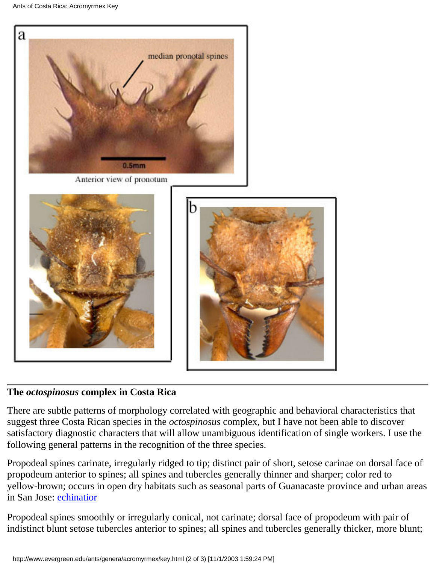```
Ants of Costa Rica: Acromyrmex Key
```


# <span id="page-1-0"></span>**The** *octospinosus* **complex in Costa Rica**

There are subtle patterns of morphology correlated with geographic and behavioral characteristics that suggest three Costa Rican species in the *octospinosus* complex, but I have not been able to discover satisfactory diagnostic characters that will allow unambiguous identification of single workers. I use the following general patterns in the recognition of the three species.

Propodeal spines carinate, irregularly ridged to tip; distinct pair of short, setose carinae on dorsal face of propodeum anterior to spines; all spines and tubercles generally thinner and sharper; color red to yellow-brown; occurs in open dry habitats such as seasonal parts of Guanacaste province and urban areas in San Jose: [echinatior](http://www.evergreen.edu/ants/genera/acromyrmex/species/echinatior/echinatior.html)

Propodeal spines smoothly or irregularly conical, not carinate; dorsal face of propodeum with pair of indistinct blunt setose tubercles anterior to spines; all spines and tubercles generally thicker, more blunt;